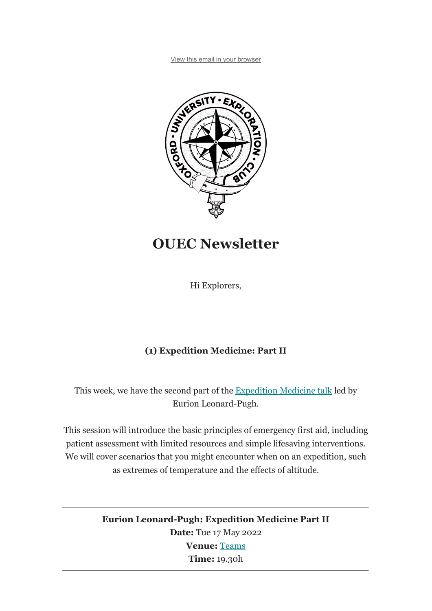View this email in your browser



# OUEC Newsletter

Hi Explorers,

## (1) Expedition Medicine: Part II

This week, we have the second part of the Expedition Medicine talk led by Eurion Leonard-Pugh.

This session will introduce the basic principles of emergency first aid, including patient assessment with limited resources and simple lifesaving interventions. We will cover scenarios that you might encounter when on an expedition, such as extremes of temperature and the effects of altitude.

> Eurion Leonard-Pugh: Expedition Medicine Part II Date: Tue 17 May 2022 Venue: Teams Time: 19.30h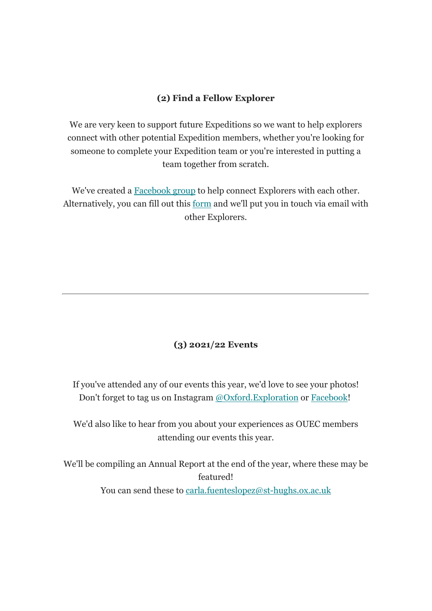#### (2) Find a Fellow Explorer

We are very keen to support future Expeditions so we want to help explorers connect with other potential Expedition members, whether you're looking for someone to complete your Expedition team or you're interested in putting a team together from scratch.

We've created a Facebook group to help connect Explorers with each other. Alternatively, you can fill out this form and we'll put you in touch via email with other Explorers.

### (3) 2021/22 Events

If you've attended any of our events this year, we'd love to see your photos! Don't forget to tag us on Instagram @Oxford.Exploration or Facebook!

We'd also like to hear from you about your experiences as OUEC members attending our events this year.

We'll be compiling an Annual Report at the end of the year, where these may be featured! You can send these to carla.fuenteslopez@st-hughs.ox.ac.uk